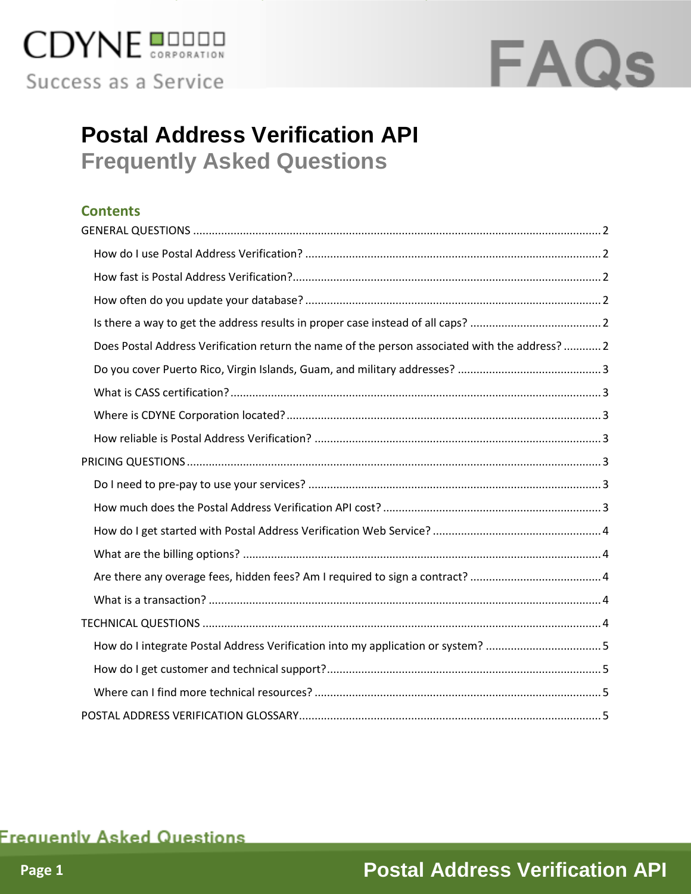

## **FAQs**

## **Postal Address Verification API Frequently Asked Questions**

#### **Contents**

| Does Postal Address Verification return the name of the person associated with the address?  2 |
|------------------------------------------------------------------------------------------------|
|                                                                                                |
|                                                                                                |
|                                                                                                |
|                                                                                                |
|                                                                                                |
|                                                                                                |
|                                                                                                |
|                                                                                                |
|                                                                                                |
|                                                                                                |
|                                                                                                |
|                                                                                                |
| How do I integrate Postal Address Verification into my application or system? 5                |
|                                                                                                |
|                                                                                                |
|                                                                                                |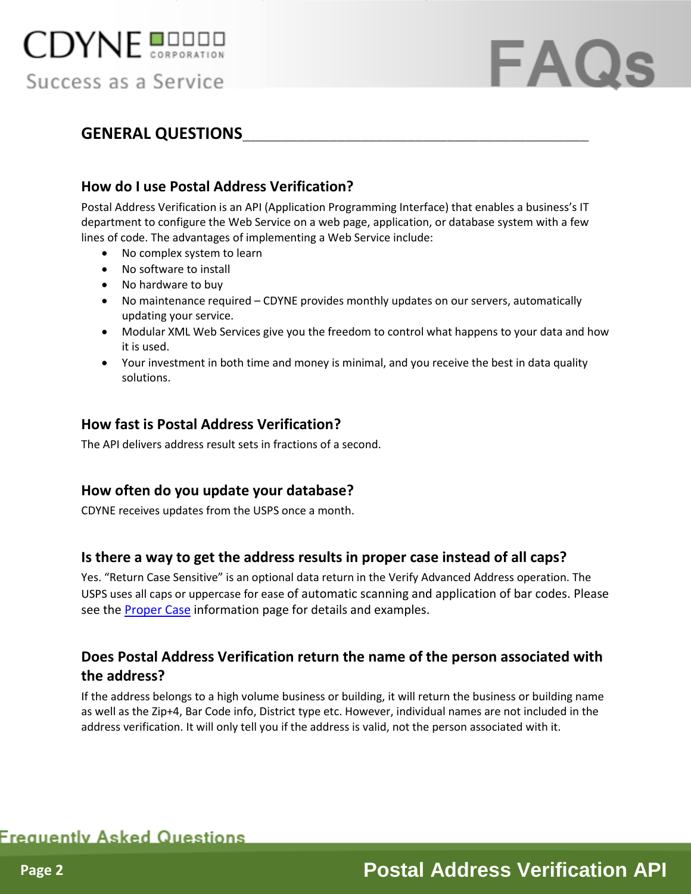

## FAQ

#### <span id="page-1-0"></span>**GENERAL QUESTIONS\_\_\_\_\_\_\_\_\_\_\_\_\_\_\_\_\_\_\_\_\_\_\_\_\_\_\_\_\_\_\_\_\_\_\_\_\_\_\_\_\_\_\_\_**

#### <span id="page-1-1"></span>**How do I use Postal Address Verification?**

Postal Address Verification is an API (Application Programming Interface) that enables a business's IT department to configure the Web Service on a web page, application, or database system with a few lines of code. The advantages of implementing a Web Service include:

- No complex system to learn
- No software to install
- No hardware to buy
- No maintenance required CDYNE provides monthly updates on our servers, automatically updating your service.
- Modular XML Web Services give you the freedom to control what happens to your data and how it is used.
- Your investment in both time and money is minimal, and you receive the best in data quality solutions.

#### <span id="page-1-2"></span>**How fast is Postal Address Verification?**

The API delivers address result sets in fractions of a second.

#### <span id="page-1-3"></span>**How often do you update your database?**

CDYNE receives updates from the USPS once a month.

#### <span id="page-1-4"></span>**Is there a way to get the address results in proper case instead of all caps?**

Yes. "Return Case Sensitive" is an optional data return in the Verify Advanced Address operation. The USPS uses all caps or uppercase for ease of automatic scanning and application of bar codes. Please see the [Proper Case](http://www.cdyne.com/terms/Proper-Case.aspx) information page for details and examples.

#### <span id="page-1-5"></span>**Does Postal Address Verification return the name of the person associated with the address?**

If the address belongs to a high volume business or building, it will return the business or building name as well as the Zip+4, Bar Code info, District type etc. However, individual names are not included in the address verification. It will only tell you if the address is valid, not the person associated with it.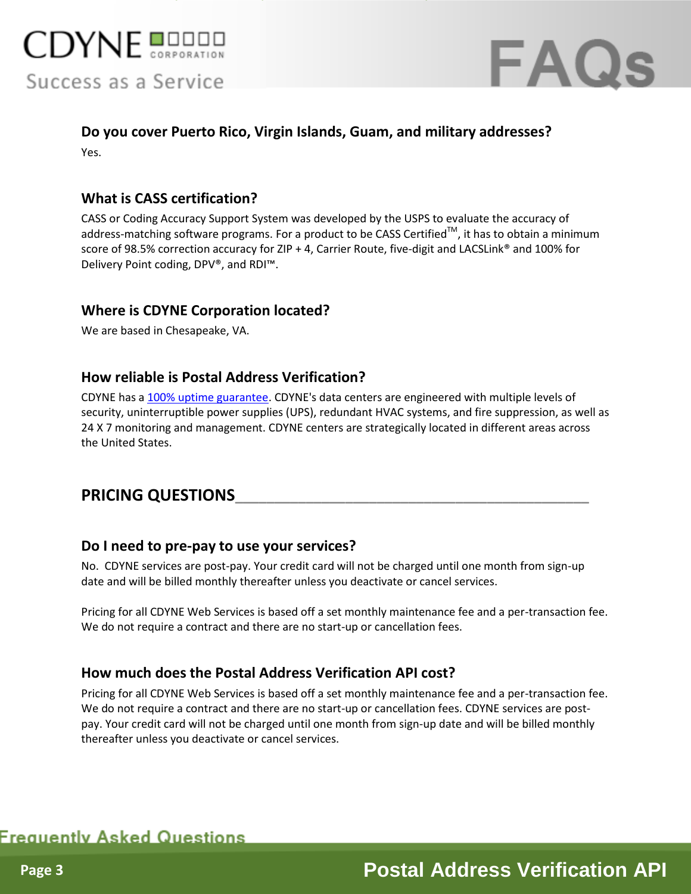



## <span id="page-2-0"></span>**Do you cover Puerto Rico, Virgin Islands, Guam, and military addresses?**

Yes.

#### <span id="page-2-1"></span>**What is CASS certification?**

CASS or Coding Accuracy Support System was developed by the USPS to evaluate the accuracy of address-matching software programs. For a product to be CASS Certified<sup>TM</sup>, it has to obtain a minimum score of 98.5% correction accuracy for ZIP + 4, Carrier Route, five-digit and LACSLink® and 100% for Delivery Point coding, DPV®, and RDI™.

#### <span id="page-2-2"></span>**Where is CDYNE Corporation located?**

We are based in Chesapeake, VA.

#### <span id="page-2-3"></span>**How reliable is Postal Address Verification?**

CDYNE has [a 100% uptime guarantee.](http://www.cdyne.com/company/100-percent-uptime.aspx) CDYNE's data centers are engineered with multiple levels of security, uninterruptible power supplies (UPS), redundant HVAC systems, and fire suppression, as well as 24 X 7 monitoring and management. CDYNE centers are strategically located in different areas across the United States.

#### <span id="page-2-4"></span>**PRICING QUESTIONS\_\_\_\_\_\_\_\_\_\_\_\_\_\_\_\_\_\_\_\_\_\_\_\_\_\_\_\_\_\_\_\_\_\_\_\_\_\_\_\_\_\_\_\_\_**

#### <span id="page-2-5"></span>**Do I need to pre-pay to use your services?**

No. CDYNE services are post-pay. Your credit card will not be charged until one month from sign-up date and will be billed monthly thereafter unless you deactivate or cancel services.

Pricing for all CDYNE Web Services is based off a set monthly maintenance fee and a per-transaction fee. We do not require a contract and there are no start-up or cancellation fees.

#### <span id="page-2-6"></span>**How much does the Postal Address Verification API cost?**

Pricing for all CDYNE Web Services is based off a set monthly maintenance fee and a per-transaction fee. We do not require a contract and there are no start-up or cancellation fees. CDYNE services are postpay. Your credit card will not be charged until one month from sign-up date and will be billed monthly thereafter unless you deactivate or cancel services.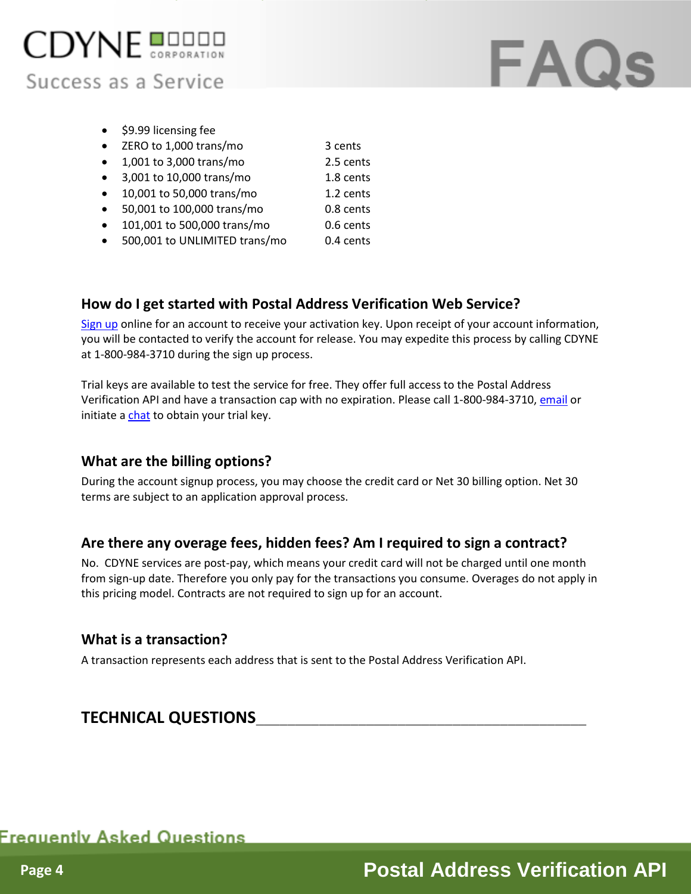

# **FAQs**

- \$9.99 licensing fee
- ZERO to 1,000 trans/mo 3 cents
- 1,001 to 3,000 trans/mo 2.5 cents
- 3,001 to 10,000 trans/mo 1.8 cents
- 10,001 to 50,000 trans/mo 1.2 cents
- 50,001 to 100,000 trans/mo 0.8 cents
- 101,001 to 500,000 trans/mo 0.6 cents
- 500,001 to UNLIMITED trans/mo 0.4 cents

#### <span id="page-3-0"></span>**How do I get started with Postal Address Verification Web Service?**

[Sign up](https://secure.cdyne.com/support/register.aspx?qs=34) online for an account to receive your activation key. Upon receipt of your account information, you will be contacted to verify the account for release. You may expedite this process by calling CDYNE at 1-800-984-3710 during the sign up process.

Trial keys are available to test the service for free. They offer full access to the Postal Address Verification API and have a transaction cap with no expiration. Please call 1-800-984-3710, [email](http://www.cdyne.com/company/contact.aspx) or initiate [a chat](http://messenger.providesupport.com/messenger/cdyne.html?ps_s=hbYR6vajjIsg) to obtain your trial key.

#### <span id="page-3-1"></span>**What are the billing options?**

During the account signup process, you may choose the credit card or Net 30 billing option. Net 30 terms are subject to an application approval process.

#### <span id="page-3-2"></span>**Are there any overage fees, hidden fees? Am I required to sign a contract?**

No. CDYNE services are post-pay, which means your credit card will not be charged until one month from sign-up date. Therefore you only pay for the transactions you consume. Overages do not apply in this pricing model. Contracts are not required to sign up for an account.

#### <span id="page-3-3"></span>**What is a transaction?**

A transaction represents each address that is sent to the Postal Address Verification API.

#### <span id="page-3-4"></span>**TECHNICAL QUESTIONS\_\_\_\_\_\_\_\_\_\_\_\_\_\_\_\_\_\_\_\_\_\_\_\_\_\_\_\_\_\_\_\_\_\_\_\_\_\_\_\_\_\_**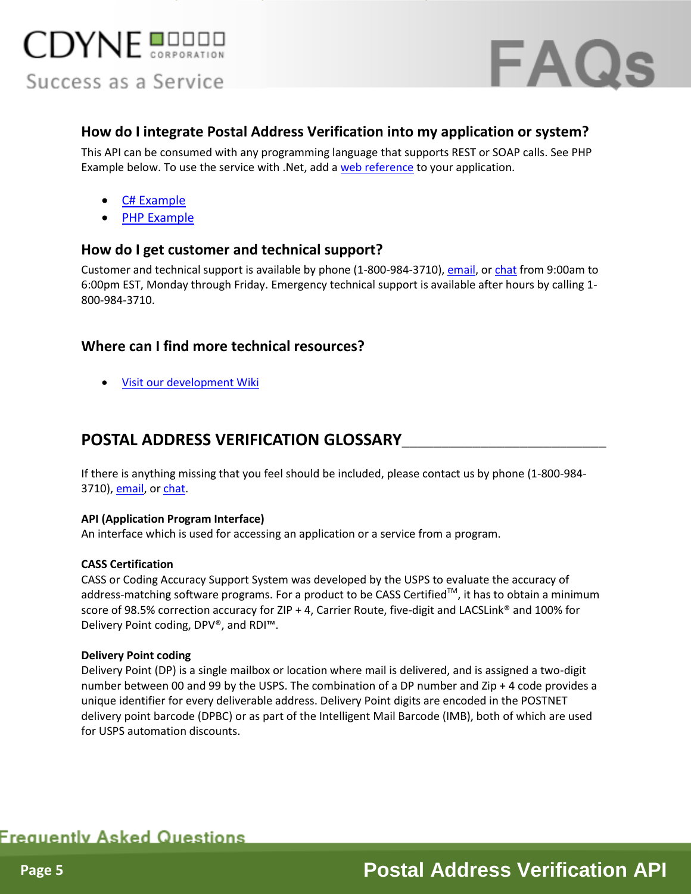



#### <span id="page-4-0"></span>**How do I integrate Postal Address Verification into my application or system?**

This API can be consumed with any programming language that supports REST or SOAP calls. See PHP Example below. To use the service with .Net, add [a web reference](http://sms2.cdyne.com/sms.svc?wsdl) to your application.

- **[C# Example](http://wiki.cdyne.com/wiki/index.php?title=PAVv3_CSharp)**
- [PHP Example](http://wiki.cdyne.com/wiki/index.php?title=PAVv3_Php)

#### <span id="page-4-1"></span>**How do I get customer and technical support?**

Customer and technical support is available by phone (1-800-984-3710)[, email,](http://www.cdyne.com/company/contact.aspx) o[r chat](http://messenger.providesupport.com/messenger/cdyne.html?ps_s=hbYR6vajjIsg) from 9:00am to 6:00pm EST, Monday through Friday. Emergency technical support is available after hours by calling 1- 800-984-3710.

#### <span id="page-4-2"></span>**Where can I find more technical resources?**

[Visit our development Wiki](http://wiki.cdyne.com/wiki/index.php?title=Postal_Address_Verification_V3)

#### <span id="page-4-3"></span>**POSTAL ADDRESS VERIFICATION GLOSSARY\_\_\_\_\_\_\_\_\_\_\_\_\_\_\_\_\_\_\_\_\_\_\_\_\_\_**

If there is anything missing that you feel should be included, please contact us by phone (1-800-984- 3710), *email*, or *chat*.

#### **API (Application Program Interface)**

An interface which is used for accessing an application or a service from a program.

#### **CASS Certification**

CASS or Coding Accuracy Support System was developed by the USPS to evaluate the accuracy of address-matching software programs. For a product to be CASS Certified<sup>TM</sup>, it has to obtain a minimum score of 98.5% correction accuracy for ZIP + 4, Carrier Route, five-digit and LACSLink® and 100% for Delivery Point coding, DPV®, and RDI™.

#### **Delivery Point coding**

Delivery Point (DP) is a single mailbox or location where mail is delivered, and is assigned a two-digit number between 00 and 99 by the USPS. The combination of a DP number and Zip + 4 code provides a unique identifier for every deliverable address. Delivery Point digits are encoded in the POSTNET delivery point barcode (DPBC) or as part of the Intelligent Mail Barcode (IMB), both of which are used for USPS automation discounts.